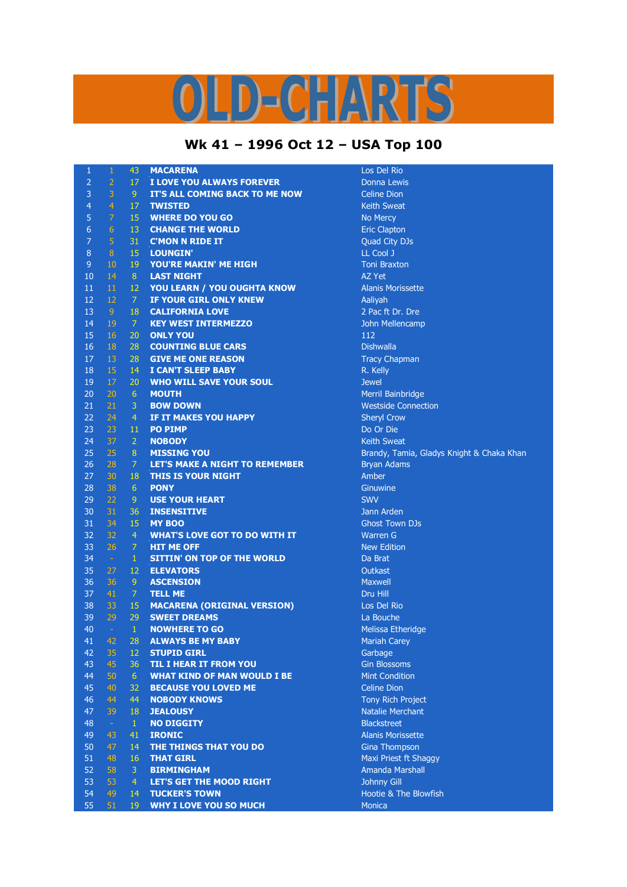## LD-CHARTS

## **Wk 41 – 1996 Oct 12 – USA Top 100**

| $\mathbf{1}$   | $\mathbf{1}$     | 43              | <b>MACARENA</b>                                     | Los Del Rio                               |
|----------------|------------------|-----------------|-----------------------------------------------------|-------------------------------------------|
| $\overline{2}$ | $\overline{2}$   | 17 <sub>1</sub> | I LOVE YOU ALWAYS FOREVER                           | Donna Lewis                               |
| 3              | $\overline{3}$   | 9 <sup>°</sup>  | IT'S ALL COMING BACK TO ME NOW                      | <b>Celine Dion</b>                        |
| $\overline{a}$ | $\overline{4}$   | 17              | <b>TWISTED</b>                                      | <b>Keith Sweat</b>                        |
| 5              | $\overline{7}$   | 15              | <b>WHERE DO YOU GO</b>                              | No Mercy                                  |
| 6              | $6 \overline{6}$ | 13              | <b>CHANGE THE WORLD</b>                             | <b>Eric Clapton</b>                       |
| $\overline{7}$ | $\overline{5}$   | 31              | <b>C'MON N RIDE IT</b>                              | Quad City DJs                             |
| 8              | 8 <sup>°</sup>   | 15              | <b>LOUNGIN'</b>                                     | LL Cool J                                 |
| 9              | 10               | 19              | YOU'RE MAKIN' ME HIGH                               | <b>Toni Braxton</b>                       |
| 10             | 14               | 8 <sup>°</sup>  | <b>LAST NIGHT</b>                                   | AZ Yet                                    |
| 11             | 11               | 12              | YOU LEARN / YOU OUGHTA KNOW                         | <b>Alanis Morissette</b>                  |
| 12             | 12               | $\overline{7}$  | IF YOUR GIRL ONLY KNEW                              | Aaliyah                                   |
| 13             | 9 <sup>°</sup>   | 18              | <b>CALIFORNIA LOVE</b>                              | 2 Pac ft Dr. Dre                          |
| 14             | 19               | -7.             | <b>KEY WEST INTERMEZZO</b>                          | John Mellencamp                           |
| 15             | 16               | 20              | <b>ONLY YOU</b>                                     | 112                                       |
| 16             | 18               | 28              | <b>COUNTING BLUE CARS</b>                           | <b>Dishwalla</b>                          |
| 17             | 13               | 28              | <b>GIVE ME ONE REASON</b>                           | <b>Tracy Chapman</b>                      |
| 18             | 15               | 14              | <b>I CAN'T SLEEP BABY</b>                           | R. Kelly                                  |
| 19             | 17               | 20              | <b>WHO WILL SAVE YOUR SOUL</b>                      | <b>Jewel</b>                              |
| 20             | 20               | 6               | <b>MOUTH</b>                                        | Merril Bainbridge                         |
| 21             | 21               | $\mathbf{3}$    | <b>BOW DOWN</b>                                     | <b>Westside Connection</b>                |
| 22             | 24               | $\overline{4}$  | <b>IF IT MAKES YOU HAPPY</b>                        | <b>Sheryl Crow</b>                        |
| 23             | 23               | 11              | <b>PO PIMP</b>                                      | Do Or Die                                 |
| 24             | 37               | $\overline{2}$  | <b>NOBODY</b>                                       | <b>Keith Sweat</b>                        |
| 25             | 25               | $\bf 8$         | <b>MISSING YOU</b>                                  | Brandy, Tamia, Gladys Knight & Chaka Khan |
| 26             | 28               | $\overline{7}$  | LET'S MAKE A NIGHT TO REMEMBER                      | <b>Bryan Adams</b>                        |
| 27             | 30               | 18              | <b>THIS IS YOUR NIGHT</b>                           | Amber                                     |
| 28             | 38               | 6               | <b>PONY</b>                                         | Ginuwine                                  |
| 29             | 22               | 9               | <b>USE YOUR HEART</b>                               | <b>SWV</b>                                |
| 30             | 31               | 36              | <b>INSENSITIVE</b>                                  | Jann Arden                                |
| 31             | 34               | 15              | <b>MY BOO</b>                                       | <b>Ghost Town DJs</b>                     |
| 32             | 32               | $\overline{4}$  | <b>WHAT'S LOVE GOT TO DO WITH IT</b>                | <b>Warren G</b>                           |
| 33             | 26               | $\mathcal{I}$   | <b>HIT ME OFF</b>                                   | <b>New Edition</b>                        |
| 34             | $\sim$           | $1\,$           | <b>SITTIN' ON TOP OF THE WORLD</b>                  | Da Brat                                   |
| 35             | 27               | 12              | <b>ELEVATORS</b>                                    | Outkast                                   |
| 36             | 36               | 9               | <b>ASCENSION</b>                                    | <b>Maxwell</b>                            |
| 37             | 41               | $\mathcal{I}$   | <b>TELL ME</b>                                      | Dru Hill                                  |
| 38             | 33               | 15              | <b>MACARENA (ORIGINAL VERSION)</b>                  | Los Del Rio                               |
| 39             | 29               | 29              | <b>SWEET DREAMS</b>                                 | La Bouche                                 |
| 40             | $\omega$         | $\mathbf{1}$    | <b>NOWHERE TO GO</b>                                | <b>Melissa Etheridge</b>                  |
| 41             | 42               | 28              | <b>ALWAYS BE MY BABY</b>                            | <b>Mariah Carey</b>                       |
| 42<br>43       | 35<br>45         | 12<br>36        | <b>STUPID GIRL</b><br><b>TIL I HEAR IT FROM YOU</b> | Garbage<br><b>Gin Blossoms</b>            |
| 44             | 50               | 6               | <b>WHAT KIND OF MAN WOULD I BE</b>                  | <b>Mint Condition</b>                     |
| 45             | 40               | 32              | <b>BECAUSE YOU LOVED ME</b>                         | <b>Celine Dion</b>                        |
| 46             | 44               | 44              | <b>NOBODY KNOWS</b>                                 | <b>Tony Rich Project</b>                  |
| 47             | 39               | 18              | <b>JEALOUSY</b>                                     | Natalie Merchant                          |
| 48             | $\sim$           | $\mathbf{1}$    | <b>NO DIGGITY</b>                                   | <b>Blackstreet</b>                        |
| 49             | 43               | 41              | <b>IRONIC</b>                                       | <b>Alanis Morissette</b>                  |
| 50             | 47               | 14              | THE THINGS THAT YOU DO                              | <b>Gina Thompson</b>                      |
| 51             | 48               | 16              | <b>THAT GIRL</b>                                    | Maxi Priest ft Shaggy                     |
| 52             | 58               | 3               | <b>BIRMINGHAM</b>                                   | <b>Amanda Marshall</b>                    |
| 53             | 53               | $\overline{4}$  | <b>LET'S GET THE MOOD RIGHT</b>                     | Johnny Gill                               |
| 54             | 49               | 14              | <b>TUCKER'S TOWN</b>                                | Hootie & The Blowfish                     |
| 55             | 51               | <b>19</b>       | <b>WHY I LOVE YOU SO MUCH</b>                       | <b>Monica</b>                             |